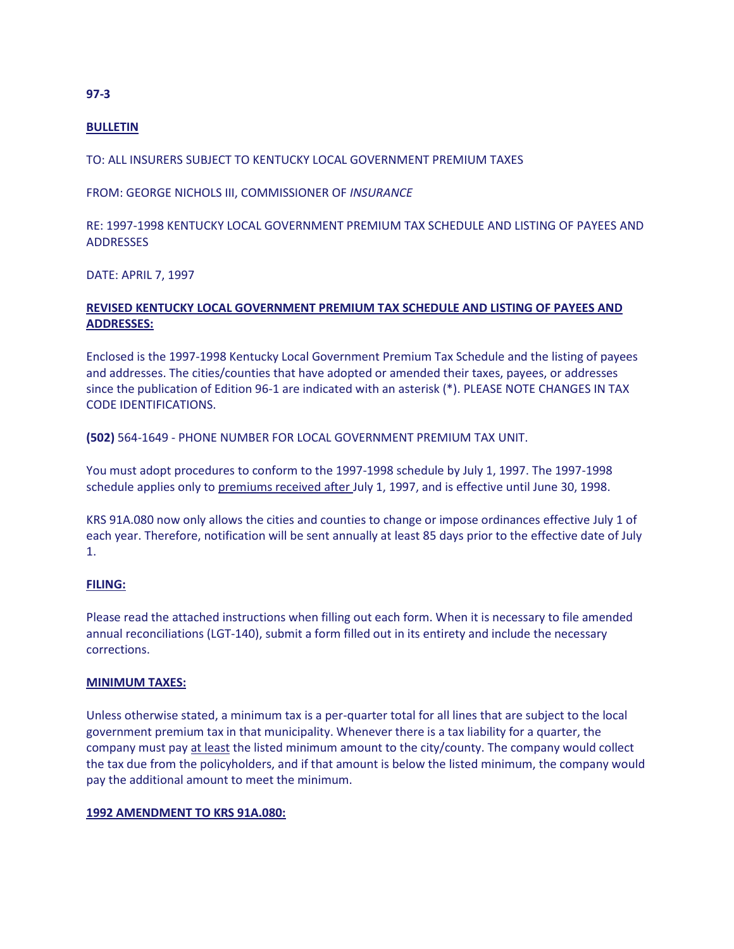# **BULLETIN**

TO: ALL INSURERS SUBJECT TO KENTUCKY LOCAL GOVERNMENT PREMIUM TAXES

FROM: GEORGE NICHOLS III, COMMISSIONER OF *INSURANCE*

RE: 1997-1998 KENTUCKY LOCAL GOVERNMENT PREMIUM TAX SCHEDULE AND LISTING OF PAYEES AND ADDRESSES

DATE: APRIL 7, 1997

# **REVISED KENTUCKY LOCAL GOVERNMENT PREMIUM TAX SCHEDULE AND LISTING OF PAYEES AND ADDRESSES:**

Enclosed is the 1997-1998 Kentucky Local Government Premium Tax Schedule and the listing of payees and addresses. The cities/counties that have adopted or amended their taxes, payees, or addresses since the publication of Edition 96-1 are indicated with an asterisk (\*). PLEASE NOTE CHANGES IN TAX CODE IDENTIFICATIONS.

**(502)** 564-1649 - PHONE NUMBER FOR LOCAL GOVERNMENT PREMIUM TAX UNIT.

You must adopt procedures to conform to the 1997-1998 schedule by July 1, 1997. The 1997-1998 schedule applies only to premiums received after July 1, 1997, and is effective until June 30, 1998.

KRS 91A.080 now only allows the cities and counties to change or impose ordinances effective July 1 of each year. Therefore, notification will be sent annually at least 85 days prior to the effective date of July 1.

# **FILING:**

Please read the attached instructions when filling out each form. When it is necessary to file amended annual reconciliations (LGT-140), submit a form filled out in its entirety and include the necessary corrections.

## **MINIMUM TAXES:**

Unless otherwise stated, a minimum tax is a per-quarter total for all lines that are subject to the local government premium tax in that municipality. Whenever there is a tax liability for a quarter, the company must pay at least the listed minimum amount to the city/county. The company would collect the tax due from the policyholders, and if that amount is below the listed minimum, the company would pay the additional amount to meet the minimum.

### **1992 AMENDMENT TO KRS 91A.080:**

#### **97-3**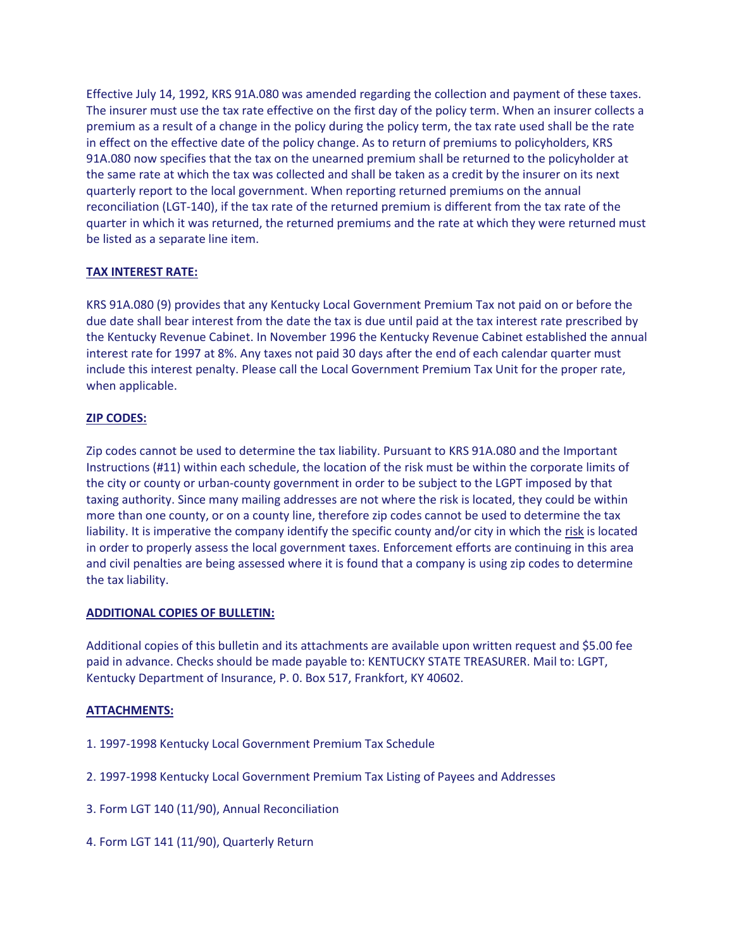Effective July 14, 1992, KRS 91A.080 was amended regarding the collection and payment of these taxes. The insurer must use the tax rate effective on the first day of the policy term. When an insurer collects a premium as a result of a change in the policy during the policy term, the tax rate used shall be the rate in effect on the effective date of the policy change. As to return of premiums to policyholders, KRS 91A.080 now specifies that the tax on the unearned premium shall be returned to the policyholder at the same rate at which the tax was collected and shall be taken as a credit by the insurer on its next quarterly report to the local government. When reporting returned premiums on the annual reconciliation (LGT-140), if the tax rate of the returned premium is different from the tax rate of the quarter in which it was returned, the returned premiums and the rate at which they were returned must be listed as a separate line item.

# **TAX INTEREST RATE:**

KRS 91A.080 (9) provides that any Kentucky Local Government Premium Tax not paid on or before the due date shall bear interest from the date the tax is due until paid at the tax interest rate prescribed by the Kentucky Revenue Cabinet. In November 1996 the Kentucky Revenue Cabinet established the annual interest rate for 1997 at 8%. Any taxes not paid 30 days after the end of each calendar quarter must include this interest penalty. Please call the Local Government Premium Tax Unit for the proper rate, when applicable.

# **ZIP CODES:**

Zip codes cannot be used to determine the tax liability. Pursuant to KRS 91A.080 and the Important Instructions (#11) within each schedule, the location of the risk must be within the corporate limits of the city or county or urban-county government in order to be subject to the LGPT imposed by that taxing authority. Since many mailing addresses are not where the risk is located, they could be within more than one county, or on a county line, therefore zip codes cannot be used to determine the tax liability. It is imperative the company identify the specific county and/or city in which the risk is located in order to properly assess the local government taxes. Enforcement efforts are continuing in this area and civil penalties are being assessed where it is found that a company is using zip codes to determine the tax liability.

# **ADDITIONAL COPIES OF BULLETIN:**

Additional copies of this bulletin and its attachments are available upon written request and \$5.00 fee paid in advance. Checks should be made payable to: KENTUCKY STATE TREASURER. Mail to: LGPT, Kentucky Department of Insurance, P. 0. Box 517, Frankfort, KY 40602.

# **ATTACHMENTS:**

- 1. 1997-1998 Kentucky Local Government Premium Tax Schedule
- 2. 1997-1998 Kentucky Local Government Premium Tax Listing of Payees and Addresses
- 3. Form LGT 140 (11/90), Annual Reconciliation
- 4. Form LGT 141 (11/90), Quarterly Return